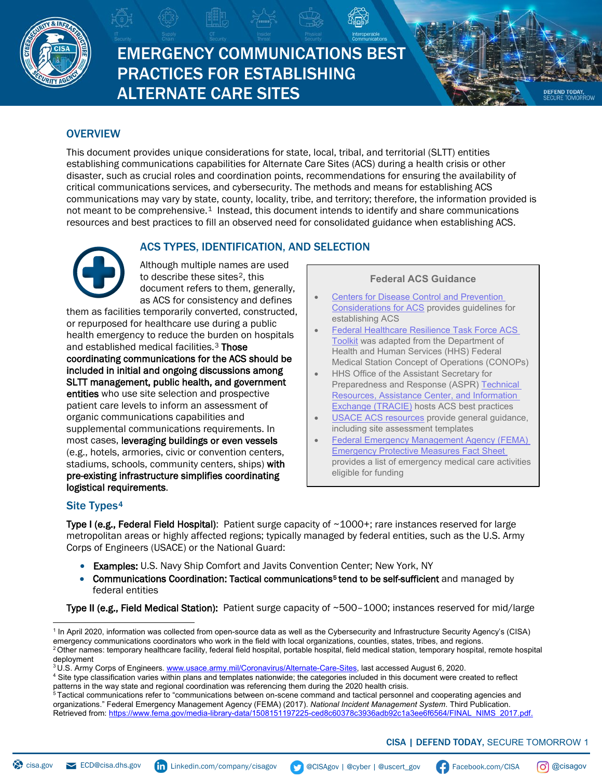

# EMERGENCY COMMUNICATIONS BEST PRACTICES FOR ESTABLISHING ALTERNATE CARE SITES

# **OVERVIEW**

This document provides unique considerations for state, local, tribal, and territorial (SLTT) entities establishing communications capabilities for Alternate Care Sites (ACS) during a health crisis or other disaster, such as crucial roles and coordination points, recommendations for ensuring the availability of critical communications services, and cybersecurity. The methods and means for establishing ACS communications may vary by state, county, locality, tribe, and territory; therefore, the information provided is not meant to be comprehensive.<sup>1</sup> Instead, this document intends to identify and share communications resources and best practices to fill an observed need for consolidated guidance when establishing ACS.

# ACS TYPES, IDENTIFICATION, AND SELECTION

Although multiple names are used to describe these sites<sup>[2](#page-0-1)</sup>, this document refers to them, generally, as ACS for consistency and defines

them as facilities temporarily converted, constructed, or repurposed for healthcare use during a public health emergency to reduce the burden on hospitals and established medical facilities.<sup>[3](#page-0-2)</sup> Those coordinating communications for the ACS should be included in initial and ongoing discussions among SLTT management, public health, and government entities who use site selection and prospective patient care levels to inform an assessment of organic communications capabilities and supplemental communications requirements. In most cases, leveraging buildings or even vessels (e.g., hotels, armories, civic or convention centers, stadiums, schools, community centers, ships) with pre-existing infrastructure simplifies coordinating logistical requirements.

#### **Federal ACS Guidance**

**[Centers for Disease Control and Prevention](https://www.cdc.gov/coronavirus/2019-ncov/hcp/alternative-care-sites.html)** [Considerations for ACS](https://www.cdc.gov/coronavirus/2019-ncov/hcp/alternative-care-sites.html) provides guidelines for establishing ACS

 $E_{\rm eff} = 100$  Proposed  $E_{\rm eff} = 100$ 

- [Federal Healthcare Resilience Task Force ACS](https://files.asprtracie.hhs.gov/documents/acs-toolkit-ed1-20200330-1022.pdf) [Toolkit](https://files.asprtracie.hhs.gov/documents/acs-toolkit-ed1-20200330-1022.pdf) was adapted from the Department of Health and Human Services (HHS) Federal Medical Station Concept of Operations (CONOPs)
- HHS Office of the Assistant Secretary for Preparedness and Response (ASPR) [Technical](https://asprtracie.hhs.gov/technical-resources/48/alternate-care-sites-including-shelter-medical-care/47) [Resources, Assistance Center, and Information](https://asprtracie.hhs.gov/technical-resources/48/alternate-care-sites-including-shelter-medical-care/47) [Exchange \(TRACIE\)](https://asprtracie.hhs.gov/technical-resources/48/alternate-care-sites-including-shelter-medical-care/47) hosts ACS best practices
- [USACE ACS resources](https://www.usace.army.mil/Coronavirus/Alternate-Care-Sites/) provide general guidance, including site assessment templates
- [Federal Emergency Management Agency \(FEMA\)](https://www.fema.gov/fact-sheet/eligible-emergency-protective-measures) [Emergency Protective Measures Fact Sheet](https://www.fema.gov/fact-sheet/eligible-emergency-protective-measures) provides a list of emergency medical care activities eligible for funding

# Site Types<sup>[4](#page-0-3)</sup>

Type I (e.g., Federal Field Hospital): Patient surge capacity of ~1000+; rare instances reserved for large metropolitan areas or highly affected regions; typically managed by federal entities, such as the U.S. Army Corps of Engineers (USACE) or the National Guard:

- Examples: U.S. Navy Ship Comfort and Javits Convention Center; New York, NY
- Communications Coordination: Tactical communications<sup>5</sup> tend to be self-sufficient and managed by federal entities

Type II (e.g., Field Medical Station): Patient surge capacity of ~500-1000; instances reserved for mid/large

<span id="page-0-3"></span><span id="page-0-2"></span><sup>4</sup> Site type classification varies within plans and templates nationwide; the categories included in this document were created to reflect patterns in the way state and regional coordination was referencing them during the 2020 health crisis.

<span id="page-0-4"></span> $^5$ Tactical communications refer to "communications between on-scene command and tactical personnel and cooperating agencies and organizations." Federal Emergency Management Agency (FEMA) (2017). *National Incident Management System*. Third Publication. Retrieved from: [https://www.fema.gov/media-library-data/1508151197225-ced8c60378c3936adb92c1a3ee6f6564/FINAL\\_NIMS\\_2017.pdf.](https://www.fema.gov/media-library-data/1508151197225-ced8c60378c3936adb92c1a3ee6f6564/FINAL_NIMS_2017.pdf)

# CISA | DEFEND TODAY, SECURE TOMORROW 1

**DEFEND TODAY** 

<span id="page-0-1"></span><span id="page-0-0"></span><sup>1</sup> In April 2020, information was collected from open-source data as well as the Cybersecurity and Infrastructure Security Agency's (CISA) emergency communications coordinators who work in the field with local organizations, counties, states, tribes, and regions. <sup>2</sup> Other names: temporary healthcare facility, federal field hospital, portable hospital, field medical station, temporary hospital, remote hospital deployment

<sup>&</sup>lt;sup>3</sup> U.S. Army Corps of Engineers. [www.usace.army.mil/Coronavirus/Alternate-Care-Sites,](http://www.usace.army.mil/Coronavirus/Alternate-Care-Sites) last accessed August 6, 2020.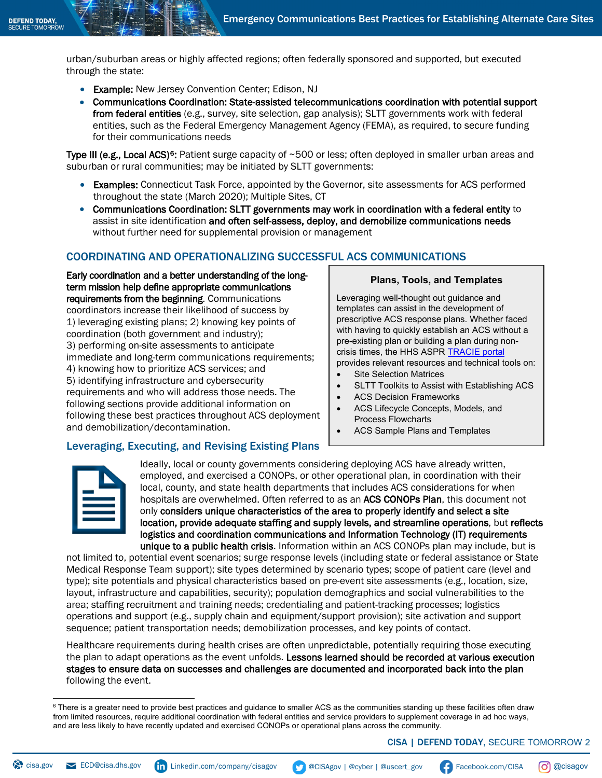urban/suburban areas or highly affected regions; often federally sponsored and supported, but executed through the state:

- Example: New Jersey Convention Center; Edison, NJ
- Communications Coordination: State-assisted telecommunications coordination with potential support from federal entities (e.g., survey, site selection, gap analysis); SLTT governments work with federal entities, such as the Federal Emergency Management Agency (FEMA), as required, to secure funding for their communications needs

Type III (e.g., Local ACS)<sup>[6](#page-1-0)</sup>: Patient surge capacity of ~500 or less; often deployed in smaller urban areas and suburban or rural communities; may be initiated by SLTT governments:

- **Examples:** Connecticut Task Force, appointed by the Governor, site assessments for ACS performed throughout the state (March 2020); Multiple Sites, CT
- Communications Coordination: SLTT governments may work in coordination with a federal entity to assist in site identification and often self-assess, deploy, and demobilize communications needs without further need for supplemental provision or management

#### COORDINATING AND OPERATIONALIZING SUCCESSFUL ACS COMMUNICATIONS

Early coordination and a better understanding of the longterm mission help define appropriate communications requirements from the beginning. Communications coordinators increase their likelihood of success by 1) leveraging existing plans; 2) knowing key points of coordination (both government and industry); 3) performing on-site assessments to anticipate immediate and long-term communications requirements; 4) knowing how to prioritize ACS services; and 5) identifying infrastructure and cybersecurity requirements and who will address those needs. The following sections provide additional information on following these best practices throughout ACS deployment and demobilization/decontamination.

Leveraging, Executing, and Revising Existing Plans

#### **Plans, Tools, and Templates**

Leveraging well-thought out guidance and templates can assist in the development of prescriptive ACS response plans. Whether faced with having to quickly establish an ACS without a pre-existing plan or building a plan during noncrisis times, the HHS ASPR [TRACIE portal](https://asprtracie.hhs.gov/) provides relevant resources and technical tools on:

- **Site Selection Matrices**
- SLTT Toolkits to Assist with Establishing ACS
- ACS Decision Frameworks
- ACS Lifecycle Concepts, Models, and Process Flowcharts
- ACS Sample Plans and Templates

Ideally, local or county governments considering deploying ACS have already written, employed, and exercised a CONOPs, or other operational plan, in coordination with their local, county, and state health departments that includes ACS considerations for when hospitals are overwhelmed. Often referred to as an ACS CONOPs Plan, this document not only considers unique characteristics of the area to properly identify and select a site location, provide adequate staffing and supply levels, and streamline operations, but reflects logistics and coordination communications and Information Technology (IT) requirements unique to a public health crisis. Information within an ACS CONOPs plan may include, but is

not limited to, potential event scenarios; surge response levels (including state or federal assistance or State Medical Response Team support); site types determined by scenario types; scope of patient care (level and type); site potentials and physical characteristics based on pre-event site assessments (e.g., location, size, layout, infrastructure and capabilities, security); population demographics and social vulnerabilities to the area; staffing recruitment and training needs; credentialing and patient-tracking processes; logistics operations and support (e.g., supply chain and equipment/support provision); site activation and support sequence; patient transportation needs; demobilization processes, and key points of contact.

Healthcare requirements during health crises are often unpredictable, potentially requiring those executing the plan to adapt operations as the event unfolds. Lessons learned should be recorded at various execution stages to ensure data on successes and challenges are documented and incorporated back into the plan following the event.

<span id="page-1-0"></span> $^6$  There is a greater need to provide best practices and guidance to smaller ACS as the communities standing up these facilities often draw from limited resources, require additional coordination with federal entities and service providers to supplement coverage in ad hoc ways, and are less likely to have recently updated and exercised CONOPs or operational plans across the community.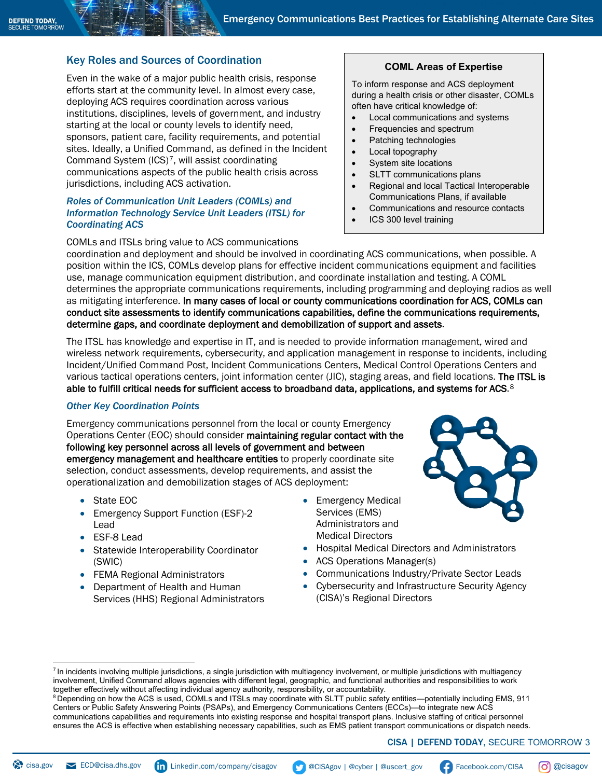# Key Roles and Sources of Coordination

Even in the wake of a major public health crisis, response efforts start at the community level. In almost every case, deploying ACS requires coordination across various institutions, disciplines, levels of government, and industry starting at the local or county levels to identify need, sponsors, patient care, facility requirements, and potential sites. Ideally, a Unified Command, as defined in the Incident Command System (ICS)[7](#page-2-0), will assist coordinating communications aspects of the public health crisis across jurisdictions, including ACS activation.

#### *Roles of Communication Unit Leaders (COMLs) and Information Technology Service Unit Leaders (ITSL) for Coordinating ACS*

COMLs and ITSLs bring value to ACS communications

# **COML Areas of Expertise**

To inform response and ACS deployment during a health crisis or other disaster, COMLs often have critical knowledge of:

- Local communications and systems
- Frequencies and spectrum
- Patching technologies
- Local topography
- System site locations
- SLTT communications plans
- Regional and local Tactical Interoperable Communications Plans, if available
- Communications and resource contacts
- ICS 300 level training

coordination and deployment and should be involved in coordinating ACS communications, when possible. A position within the ICS, COMLs develop plans for effective incident communications equipment and facilities use, manage communication equipment distribution, and coordinate installation and testing. A COML determines the appropriate communications requirements, including programming and deploying radios as well as mitigating interference. In many cases of local or county communications coordination for ACS, COMLs can conduct site assessments to identify communications capabilities, define the communications requirements, determine gaps, and coordinate deployment and demobilization of support and assets.

The ITSL has knowledge and expertise in IT, and is needed to provide information management, wired and wireless network requirements, cybersecurity, and application management in response to incidents, including Incident/Unified Command Post, Incident Communications Centers, Medical Control Operations Centers and various tactical operations centers, joint information center (JIC), staging areas, and field locations. The ITSL is able to fulfill critical needs for sufficient access to broadband data, applications, and systems for ACS.<sup>[8](#page-2-1)</sup>

#### *Other Key Coordination Points*

Emergency communications personnel from the local or county Emergency Operations Center (EOC) should consider maintaining regular contact with the following key personnel across all levels of government and between emergency management and healthcare entities to properly coordinate site selection, conduct assessments, develop requirements, and assist the operationalization and demobilization stages of ACS deployment:

- State EOC
- Emergency Support Function (ESF)-2 Lead
- ESF-8 Lead
- Statewide Interoperability Coordinator (SWIC)
- FEMA Regional Administrators
- Department of Health and Human Services (HHS) Regional Administrators
- **Emergency Medical** Services (EMS) Administrators and Medical Directors



- Hospital Medical Directors and Administrators
- ACS Operations Manager(s)
- Communications Industry/Private Sector Leads
- Cybersecurity and Infrastructure Security Agency (CISA)'s Regional Directors

# CISA | DEFEND TODAY, SECURE TOMORROW 3

-

<span id="page-2-0"></span><sup>&</sup>lt;sup>7</sup> In incidents involving multiple jurisdictions, a single jurisdiction with multiagency involvement, or multiple jurisdictions with multiagency involvement, Unified Command allows agencies with different legal, geographic, and functional authorities and responsibilities to work together effectively without affecting individual agency authority, responsibility, or accountability.

<span id="page-2-1"></span><sup>8</sup> Depending on how the ACS is used, COMLs and ITSLs may coordinate with SLTT public safety entities—potentially including EMS, 911 Centers or Public Safety Answering Points (PSAPs), and Emergency Communications Centers (ECCs)—to integrate new ACS communications capabilities and requirements into existing response and hospital transport plans. Inclusive staffing of critical personnel ensures the ACS is effective when establishing necessary capabilities, such as EMS patient transport communications or dispatch needs.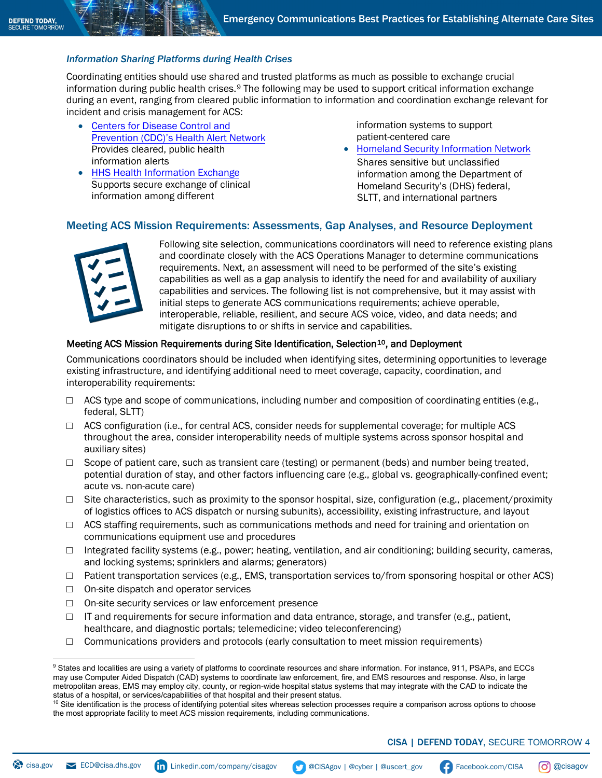### *Information Sharing Platforms during Health Crises*

Coordinating entities should use shared and trusted platforms as much as possible to exchange crucial information during public health crises.[9](#page-3-0) The following may be used to support critical information exchange during an event, ranging from cleared public information to information and coordination exchange relevant for incident and crisis management for ACS:

- [Centers for Disease Control and](https://emergency.cdc.gov/han/index.asp) [Prevention \(CDC\)'s Health Alert Network](https://emergency.cdc.gov/han/index.asp) Provides cleared, public health information alerts
- HHS Health Information Exchange [Supports secure exchange of clinica](https://www.healthit.gov/topic/health-it-and-health-information-exchange-basics/health-information-exchange)l information among different

information systems to support patient-centered care

• Homeland [Security Information Network](https://www.dhs.gov/homeland-security-information-network-hsin) Shares sensitive but unclassified information among the Department of Homeland Security's (DHS) federal, SLTT, and international partners

# Meeting ACS Mission Requirements: Assessments, Gap Analyses, and Resource Deployment



Following site selection, communications coordinators will need to reference existing plans and coordinate closely with the ACS Operations Manager to determine communications requirements. Next, an assessment will need to be performed of the site's existing capabilities as well as a gap analysis to identify the need for and availability of auxiliary capabilities and services. The following list is not comprehensive, but it may assist with initial steps to generate ACS communications requirements; achieve operable, interoperable, reliable, resilient, and secure ACS voice, video, and data needs; and mitigate disruptions to or shifts in service and capabilities.

#### Meeting ACS Mission Requirements during Site Identification, Selection<sup>[10](#page-3-1)</sup>, and Deployment

Communications coordinators should be included when identifying sites, determining opportunities to leverage existing infrastructure, and identifying additional need to meet coverage, capacity, coordination, and interoperability requirements:

- $\Box$  ACS type and scope of communications, including number and composition of coordinating entities (e.g., federal, SLTT)
- $\Box$  ACS configuration (i.e., for central ACS, consider needs for supplemental coverage; for multiple ACS throughout the area, consider interoperability needs of multiple systems across sponsor hospital and auxiliary sites)
- $\Box$  Scope of patient care, such as transient care (testing) or permanent (beds) and number being treated, potential duration of stay, and other factors influencing care (e.g., global vs. geographically-confined event; acute vs. non-acute care)
- $\Box$  Site characteristics, such as proximity to the sponsor hospital, size, configuration (e.g., placement/proximity of logistics offices to ACS dispatch or nursing subunits), accessibility, existing infrastructure, and layout
- $\Box$  ACS staffing requirements, such as communications methods and need for training and orientation on communications equipment use and procedures
- □ Integrated facility systems (e.g., power; heating, ventilation, and air conditioning; building security, cameras, and locking systems; sprinklers and alarms; generators)
- □ Patient transportation services (e.g., EMS, transportation services to/from sponsoring hospital or other ACS)
- □ On-site dispatch and operator services
- □ On-site security services or law enforcement presence
- $\Box$  IT and requirements for secure information and data entrance, storage, and transfer (e.g., patient, healthcare, and diagnostic portals; telemedicine; video teleconferencing)
- $\Box$  Communications providers and protocols (early consultation to meet mission requirements)

<span id="page-3-0"></span> $^\mathrm{9}$  States and localities are using a variety of platforms to coordinate resources and share information. For instance, 911, PSAPs, and ECCs may use Computer Aided Dispatch (CAD) systems to coordinate law enforcement, fire, and EMS resources and response. Also, in large metropolitan areas, EMS may employ city, county, or region-wide hospital status systems that may integrate with the CAD to indicate the status of a hospital, or services/capabilities of that hospital and their present status.

<span id="page-3-1"></span> $10$  Site identification is the process of identifying potential sites whereas selection processes require a comparison across options to choose the most appropriate facility to meet ACS mission requirements, including communications.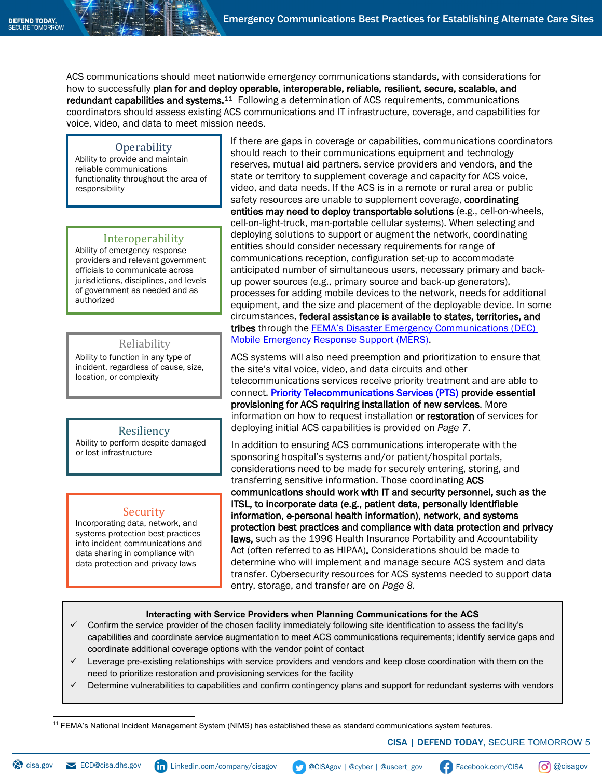ACS communications should meet nationwide emergency communications standards, with considerations for how to successfully plan for and deploy operable, interoperable, reliable, resilient, secure, scalable, and redundant capabilities and systems.<sup>11</sup> Following a determination of ACS requirements, communications coordinators should assess existing ACS communications and IT infrastructure, coverage, and capabilities for voice, video, and data to meet mission needs.

#### **Operability**

Ability to provide and maintain reliable communications functionality throughout the area of responsibility

#### Interoperability

Ability of emergency response providers and relevant government officials to communicate across jurisdictions, disciplines, and levels of government as needed and as authorized

# Reliability

Ability to function in any type of incident, regardless of cause, size, location, or complexity

#### Resiliency

Ability to perform despite damaged or lost infrastructure

# **Security**

Incorporating data, network, and systems protection best practices into incident communications and data sharing in compliance with data protection and privacy laws

If there are gaps in coverage or capabilities, communications coordinators should reach to their communications equipment and technology reserves, mutual aid partners, service providers and vendors, and the state or territory to supplement coverage and capacity for ACS voice, video, and data needs. If the ACS is in a remote or rural area or public safety resources are unable to supplement coverage, coordinating entities may need to deploy transportable solutions (e.g., cell-on-wheels, cell-on-light-truck, man-portable cellular systems). When selecting and deploying solutions to support or augment the network, coordinating entities should consider necessary requirements for range of communications reception, configuration set-up to accommodate anticipated number of simultaneous users, necessary primary and backup power sources (e.g., primary source and back-up generators), processes for adding mobile devices to the network, needs for additional equipment, and the size and placement of the deployable device. In some circumstances, federal assistance is available to states, territories, and tribes through the **FEMA's Disaster Emergency Communications (DEC)** [Mobile Emergency Response Support \(MERS\).](https://www.fema.gov/disaster-emergency-communications)

ACS systems will also need preemption and prioritization to ensure that the site's vital voice, video, and data circuits and other telecommunications services receive priority treatment and are able to connect[. Priority Telecommunications Services \(PTS\)](https://www.cisa.gov/pts) provide essential provisioning for ACS requiring installation of new services. More information on how to request installation or restoration of services for deploying initial ACS capabilities is provided on *Page 7*.

In addition to ensuring ACS communications interoperate with the sponsoring hospital's systems and/or patient/hospital portals, considerations need to be made for securely entering, storing, and transferring sensitive information. Those coordinating ACS communications should work with IT and security personnel, such as the ITSL, to incorporate data (e.g., patient data, personally identifiable information, e-personal health information), network, and systems protection best practices and compliance with data protection and privacy laws, such as the 1996 Health Insurance Portability and Accountability Act (often referred to as HIPAA). Considerations should be made to determine who will implement and manage secure ACS system and data transfer. Cybersecurity resources for ACS systems needed to support data entry, storage, and transfer are on *Page 8.*

#### **Interacting with Service Providers when Planning Communications for the ACS**

- Confirm the service provider of the chosen facility immediately following site identification to assess the facility's capabilities and coordinate service augmentation to meet ACS communications requirements; identify service gaps and coordinate additional coverage options with the vendor point of contact
- Leverage pre-existing relationships with service providers and vendors and keep close coordination with them on the need to prioritize restoration and provisioning services for the facility
- Determine vulnerabilities to capabilities and confirm contingency plans and support for redundant systems with vendors

<span id="page-4-0"></span><sup>11</sup> FEMA's National Incident Management System (NIMS) has established these as standard communications system features.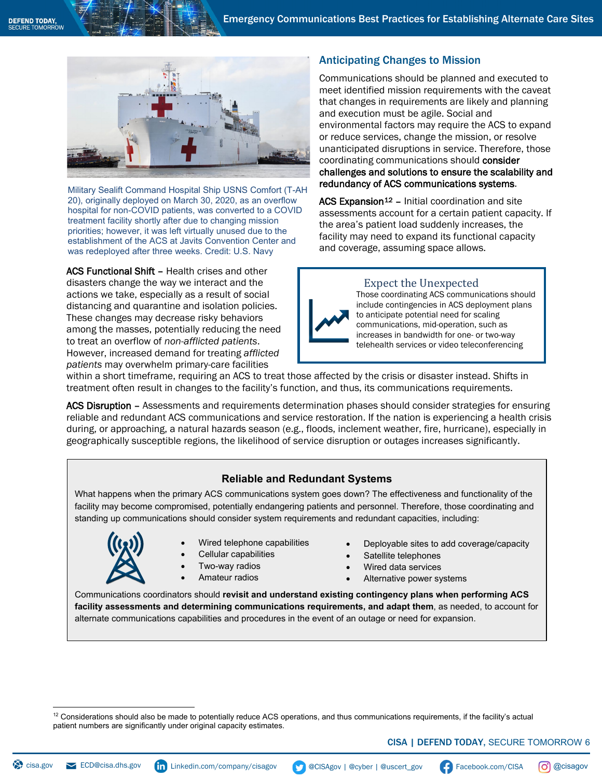

Military Sealift Command Hospital Ship USNS Comfort (T-AH 20), originally deployed on March 30, 2020, as an overflow hospital for non-COVID patients, was converted to a COVID treatment facility shortly after due to changing mission priorities; however, it was left virtually unused due to the establishment of the ACS at Javits Convention Center and was redeployed after three weeks. Credit: U.S. Navy

ACS Functional Shift - Health crises and other disasters change the way we interact and the actions we take, especially as a result of social distancing and quarantine and isolation policies. These changes may decrease risky behaviors among the masses, potentially reducing the need to treat an overflow of *non-afflicted patients*. However, increased demand for treating *afflicted patients* may overwhelm primary-care facilities

# Anticipating Changes to Mission

Communications should be planned and executed to meet identified mission requirements with the caveat that changes in requirements are likely and planning and execution must be agile. Social and environmental factors may require the ACS to expand or reduce services, change the mission, or resolve unanticipated disruptions in service. Therefore, those coordinating communications should consider challenges and solutions to ensure the scalability and redundancy of ACS communications systems.

 $ACS$  Expansion<sup>12</sup> – Initial coordination and site assessments account for a certain patient capacity. If the area's patient load suddenly increases, the facility may need to expand its functional capacity and coverage, assuming space allows.

### Expect the Unexpected



Those coordinating ACS communications should include contingencies in ACS deployment plans to anticipate potential need for scaling communications, mid-operation, such as increases in bandwidth for one- or two-way telehealth services or video teleconferencing

within a short timeframe, requiring an ACS to treat those affected by the crisis or disaster instead. Shifts in treatment often result in changes to the facility's function, and thus, its communications requirements.

ACS Disruption - Assessments and requirements determination phases should consider strategies for ensuring reliable and redundant ACS communications and service restoration. If the nation is experiencing a health crisis during, or approaching, a natural hazards season (e.g., floods, inclement weather, fire, hurricane), especially in geographically susceptible regions, the likelihood of service disruption or outages increases significantly.

# **Reliable and Redundant Systems**

What happens when the primary ACS communications system goes down? The effectiveness and functionality of the facility may become compromised, potentially endangering patients and personnel. Therefore, those coordinating and standing up communications should consider system requirements and redundant capacities, including:



- Wired telephone capabilities
- Cellular capabilities
- Two-way radios
- Amateur radios
- Deployable sites to add coverage/capacity
- Satellite telephones
- Wired data services
- Alternative power systems

Communications coordinators should **revisit and understand existing contingency plans when performing ACS facility assessments and determining communications requirements, and adapt them**, as needed, to account for alternate communications capabilities and procedures in the event of an outage or need for expansion.

<span id="page-5-0"></span> $12$  Considerations should also be made to potentially reduce ACS operations, and thus communications requirements, if the facility's actual patient numbers are significantly under original capacity estimates.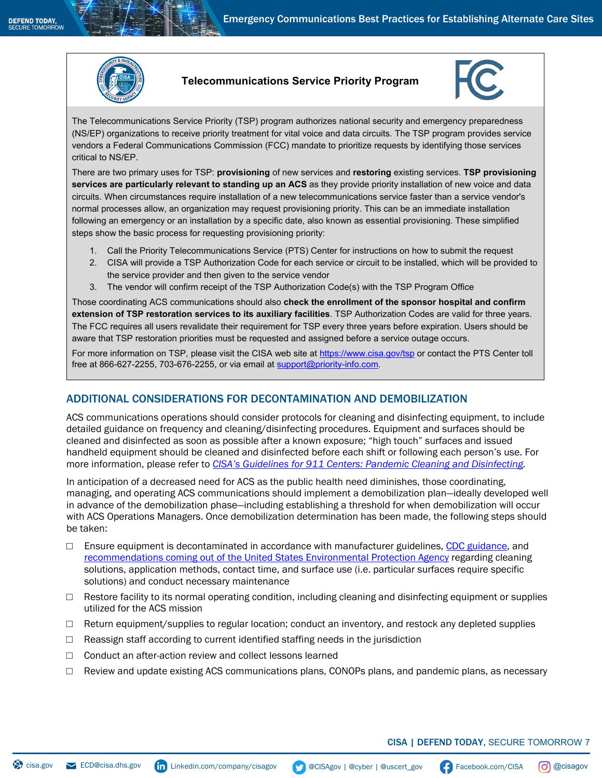

### **Telecommunications Service Priority Program**



The Telecommunications Service Priority (TSP) program authorizes national security and emergency preparedness (NS/EP) organizations to receive priority treatment for vital voice and data circuits. The TSP program provides service vendors a Federal Communications Commission (FCC) mandate to prioritize requests by identifying those services critical to NS/EP.

There are two primary uses for TSP: **provisioning** of new services and **restoring** existing services. **TSP provisioning services are particularly relevant to standing up an ACS** as they provide priority installation of new voice and data circuits. When circumstances require installation of a new telecommunications service faster than a service vendor's normal processes allow, an organization may request provisioning priority. This can be an immediate installation following an emergency or an installation by a specific date, also known as essential provisioning. These simplified steps show the basic process for requesting provisioning priority:

- 1. Call the Priority Telecommunications Service (PTS) Center for instructions on how to submit the request
- 2. CISA will provide a TSP Authorization Code for each service or circuit to be installed, which will be provided to the service provider and then given to the service vendor
- 3. The vendor will confirm receipt of the TSP Authorization Code(s) with the TSP Program Office

Those coordinating ACS communications should also **check the enrollment of the sponsor hospital and confirm extension of TSP restoration services to its auxiliary facilities**. TSP Authorization Codes are valid for three years. The FCC requires all users revalidate their requirement for TSP every three years before expiration. Users should be aware that TSP restoration priorities must be requested and assigned before a service outage occurs.

For more information on TSP, please visit the CISA web site at<https://www.cisa.gov/tsp> or contact the PTS Center toll free at 866-627-2255, 703-676-2255, or via email at [support@priority-info.com.](mailto:support@priority-info.com)

# ADDITIONAL CONSIDERATIONS FOR DECONTAMINATION AND DEMOBILIZATION

ACS communications operations should consider protocols for cleaning and disinfecting equipment, to include detailed guidance on frequency and cleaning/disinfecting procedures. Equipment and surfaces should be cleaned and disinfected as soon as possible after a known exposure; "high touch" surfaces and issued handheld equipment should be cleaned and disinfected before each shift or following each person's use. For more information, please refer to *[CISA's Guidelines for 911 Centers: Pandemic Cleaning and Disinfecting.](https://www.cisa.gov/emergency-communications-pandemic-guidelines)*

In anticipation of a decreased need for ACS as the public health need diminishes, those coordinating, managing, and operating ACS communications should implement a demobilization plan—ideally developed well in advance of the demobilization phase—including establishing a threshold for when demobilization will occur with ACS Operations Managers. Once demobilization determination has been made, the following steps should be taken:

- $\square$  Ensure equipment is decontaminated in accordance with manufacturer guidelines, [CDC guidance,](https://www.cdc.gov/coronavirus/2019-ncov/community/disinfecting-building-facility.html) and [recommendations coming out of the United States Environmental Protection Agency](https://www.epa.gov/pesticide-registration/list-n-disinfectants-use-against-sars-cov-2) regarding cleaning solutions, application methods, contact time, and surface use (i.e. particular surfaces require specific solutions) and conduct necessary maintenance
- $\Box$  Restore facility to its normal operating condition, including cleaning and disinfecting equipment or supplies utilized for the ACS mission
- $\Box$  Return equipment/supplies to regular location; conduct an inventory, and restock any depleted supplies
- $\Box$  Reassign staff according to current identified staffing needs in the jurisdiction
- □ Conduct an after-action review and collect lessons learned
- $\Box$  Review and update existing ACS communications plans, CONOPs plans, and pandemic plans, as necessary